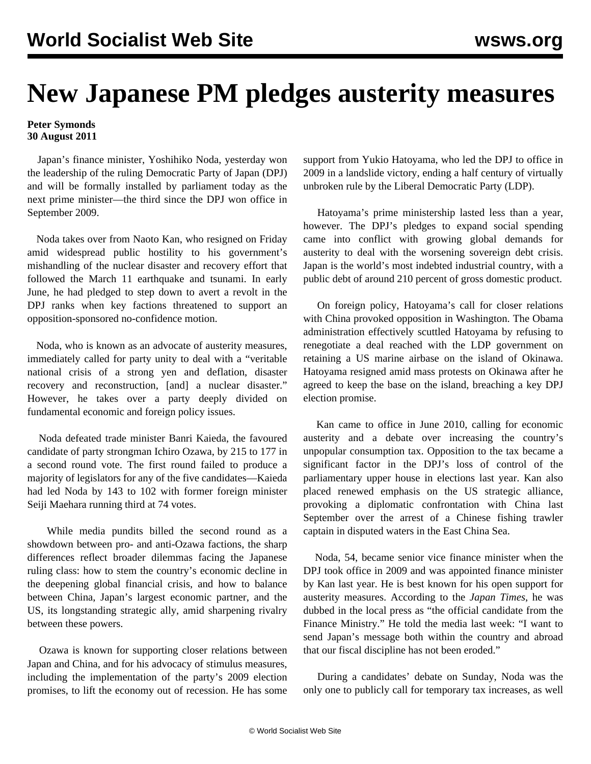## **New Japanese PM pledges austerity measures**

## **Peter Symonds 30 August 2011**

 Japan's finance minister, Yoshihiko Noda, yesterday won the leadership of the ruling Democratic Party of Japan (DPJ) and will be formally installed by parliament today as the next prime minister—the third since the DPJ won office in September 2009.

 Noda takes over from Naoto Kan, who resigned on Friday amid widespread public hostility to his government's mishandling of the nuclear disaster and recovery effort that followed the March 11 earthquake and tsunami. In early June, he had pledged to step down to avert a revolt in the DPJ ranks when key factions threatened to support an opposition-sponsored no-confidence motion.

 Noda, who is known as an advocate of austerity measures, immediately called for party unity to deal with a "veritable national crisis of a strong yen and deflation, disaster recovery and reconstruction, [and] a nuclear disaster." However, he takes over a party deeply divided on fundamental economic and foreign policy issues.

 Noda defeated trade minister Banri Kaieda, the favoured candidate of party strongman Ichiro Ozawa, by 215 to 177 in a second round vote. The first round failed to produce a majority of legislators for any of the five candidates—Kaieda had led Noda by 143 to 102 with former foreign minister Seiji Maehara running third at 74 votes.

 While media pundits billed the second round as a showdown between pro- and anti-Ozawa factions, the sharp differences reflect broader dilemmas facing the Japanese ruling class: how to stem the country's economic decline in the deepening global financial crisis, and how to balance between China, Japan's largest economic partner, and the US, its longstanding strategic ally, amid sharpening rivalry between these powers.

 Ozawa is known for supporting closer relations between Japan and China, and for his advocacy of stimulus measures, including the implementation of the party's 2009 election promises, to lift the economy out of recession. He has some support from Yukio Hatoyama, who led the DPJ to office in 2009 in a landslide victory, ending a half century of virtually unbroken rule by the Liberal Democratic Party (LDP).

 Hatoyama's prime ministership lasted less than a year, however. The DPJ's pledges to expand social spending came into conflict with growing global demands for austerity to deal with the worsening sovereign debt crisis. Japan is the world's most indebted industrial country, with a public debt of around 210 percent of gross domestic product.

 On foreign policy, Hatoyama's call for closer relations with China provoked opposition in Washington. The Obama administration effectively scuttled Hatoyama by refusing to renegotiate a deal reached with the LDP government on retaining a US marine airbase on the island of Okinawa. Hatoyama resigned amid mass protests on Okinawa after he agreed to keep the base on the island, breaching a key DPJ election promise.

 Kan came to office in June 2010, calling for economic austerity and a debate over increasing the country's unpopular consumption tax. Opposition to the tax became a significant factor in the DPJ's loss of control of the parliamentary upper house in elections last year. Kan also placed renewed emphasis on the US strategic alliance, provoking a diplomatic confrontation with China last September over the arrest of a Chinese fishing trawler captain in disputed waters in the East China Sea.

 Noda, 54, became senior vice finance minister when the DPJ took office in 2009 and was appointed finance minister by Kan last year. He is best known for his open support for austerity measures. According to the *Japan Times*, he was dubbed in the local press as "the official candidate from the Finance Ministry." He told the media last week: "I want to send Japan's message both within the country and abroad that our fiscal discipline has not been eroded."

 During a candidates' debate on Sunday, Noda was the only one to publicly call for temporary tax increases, as well